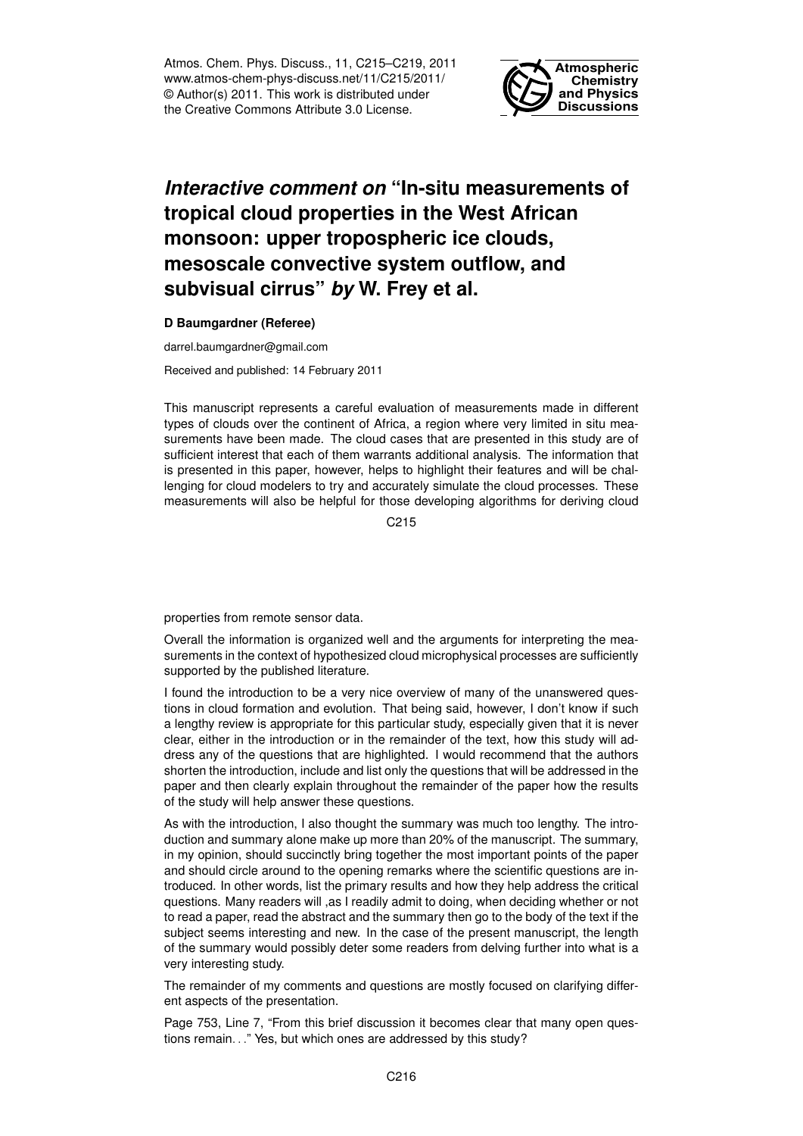Atmos. Chem. Phys. Discuss., 11, C215–C219, 2011 www.atmos-chem-phys-discuss.net/11/C215/2011/ © Author(s) 2011. This work is distributed under the Creative Commons Attribute 3.0 License.



## *Interactive comment on* **"In-situ measurements of tropical cloud properties in the West African monsoon: upper tropospheric ice clouds, mesoscale convective system outflow, and subvisual cirrus"** *by* **W. Frey et al.**

**D Baumgardner (Referee)**

darrel.baumgardner@gmail.com

Received and published: 14 February 2011

This manuscript represents a careful evaluation of measurements made in different types of clouds over the continent of Africa, a region where very limited in situ measurements have been made. The cloud cases that are presented in this study are of sufficient interest that each of them warrants additional analysis. The information that is presented in this paper, however, helps to highlight their features and will be challenging for cloud modelers to try and accurately simulate the cloud processes. These measurements will also be helpful for those developing algorithms for deriving cloud

C<sub>215</sub>

properties from remote sensor data.

Overall the information is organized well and the arguments for interpreting the measurements in the context of hypothesized cloud microphysical processes are sufficiently supported by the published literature.

I found the introduction to be a very nice overview of many of the unanswered questions in cloud formation and evolution. That being said, however, I don't know if such a lengthy review is appropriate for this particular study, especially given that it is never clear, either in the introduction or in the remainder of the text, how this study will address any of the questions that are highlighted. I would recommend that the authors shorten the introduction, include and list only the questions that will be addressed in the paper and then clearly explain throughout the remainder of the paper how the results of the study will help answer these questions.

As with the introduction, I also thought the summary was much too lengthy. The introduction and summary alone make up more than 20% of the manuscript. The summary, in my opinion, should succinctly bring together the most important points of the paper and should circle around to the opening remarks where the scientific questions are introduced. In other words, list the primary results and how they help address the critical questions. Many readers will ,as I readily admit to doing, when deciding whether or not to read a paper, read the abstract and the summary then go to the body of the text if the subject seems interesting and new. In the case of the present manuscript, the length of the summary would possibly deter some readers from delving further into what is a very interesting study.

The remainder of my comments and questions are mostly focused on clarifying different aspects of the presentation.

Page 753, Line 7, "From this brief discussion it becomes clear that many open questions remain. . ." Yes, but which ones are addressed by this study?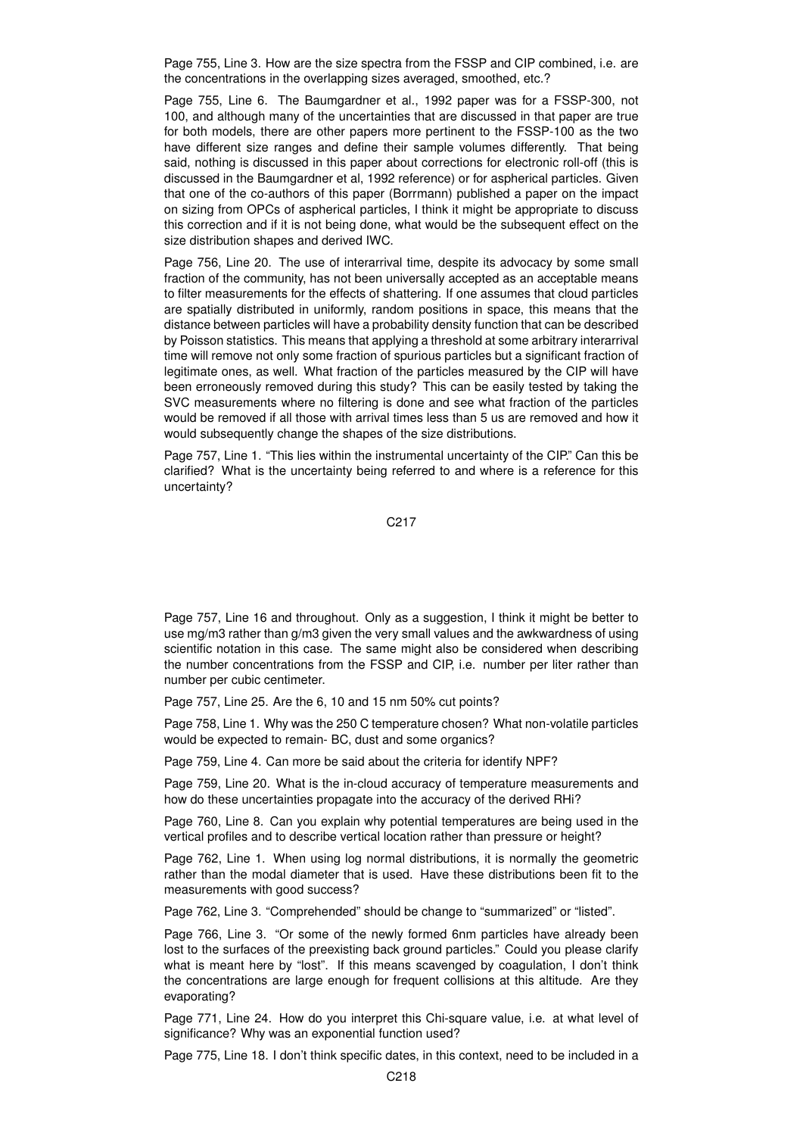Page 755, Line 3. How are the size spectra from the FSSP and CIP combined, i.e. are the concentrations in the overlapping sizes averaged, smoothed, etc.?

Page 755, Line 6. The Baumgardner et al., 1992 paper was for a FSSP-300, not 100, and although many of the uncertainties that are discussed in that paper are true for both models, there are other papers more pertinent to the FSSP-100 as the two have different size ranges and define their sample volumes differently. That being said, nothing is discussed in this paper about corrections for electronic roll-off (this is discussed in the Baumgardner et al, 1992 reference) or for aspherical particles. Given that one of the co-authors of this paper (Borrmann) published a paper on the impact on sizing from OPCs of aspherical particles, I think it might be appropriate to discuss this correction and if it is not being done, what would be the subsequent effect on the size distribution shapes and derived IWC.

Page 756, Line 20. The use of interarrival time, despite its advocacy by some small fraction of the community, has not been universally accepted as an acceptable means to filter measurements for the effects of shattering. If one assumes that cloud particles are spatially distributed in uniformly, random positions in space, this means that the distance between particles will have a probability density function that can be described by Poisson statistics. This means that applying a threshold at some arbitrary interarrival time will remove not only some fraction of spurious particles but a significant fraction of legitimate ones, as well. What fraction of the particles measured by the CIP will have been erroneously removed during this study? This can be easily tested by taking the SVC measurements where no filtering is done and see what fraction of the particles would be removed if all those with arrival times less than 5 us are removed and how it would subsequently change the shapes of the size distributions.

Page 757, Line 1. "This lies within the instrumental uncertainty of the CIP." Can this be clarified? What is the uncertainty being referred to and where is a reference for this uncertainty?

C217

Page 757, Line 16 and throughout. Only as a suggestion, I think it might be better to use mg/m3 rather than g/m3 given the very small values and the awkwardness of using scientific notation in this case. The same might also be considered when describing the number concentrations from the FSSP and CIP, i.e. number per liter rather than number per cubic centimeter.

Page 757, Line 25. Are the 6, 10 and 15 nm 50% cut points?

Page 758, Line 1. Why was the 250 C temperature chosen? What non-volatile particles would be expected to remain- BC, dust and some organics?

Page 759, Line 4. Can more be said about the criteria for identify NPF?

Page 759, Line 20. What is the in-cloud accuracy of temperature measurements and how do these uncertainties propagate into the accuracy of the derived RHi?

Page 760, Line 8. Can you explain why potential temperatures are being used in the vertical profiles and to describe vertical location rather than pressure or height?

Page 762, Line 1. When using log normal distributions, it is normally the geometric rather than the modal diameter that is used. Have these distributions been fit to the measurements with good success?

Page 762, Line 3. "Comprehended" should be change to "summarized" or "listed".

Page 766, Line 3. "Or some of the newly formed 6nm particles have already been lost to the surfaces of the preexisting back ground particles." Could you please clarify what is meant here by "lost". If this means scavenged by coagulation, I don't think the concentrations are large enough for frequent collisions at this altitude. Are they evaporating?

Page 771, Line 24. How do you interpret this Chi-square value, i.e. at what level of significance? Why was an exponential function used?

Page 775, Line 18. I don't think specific dates, in this context, need to be included in a